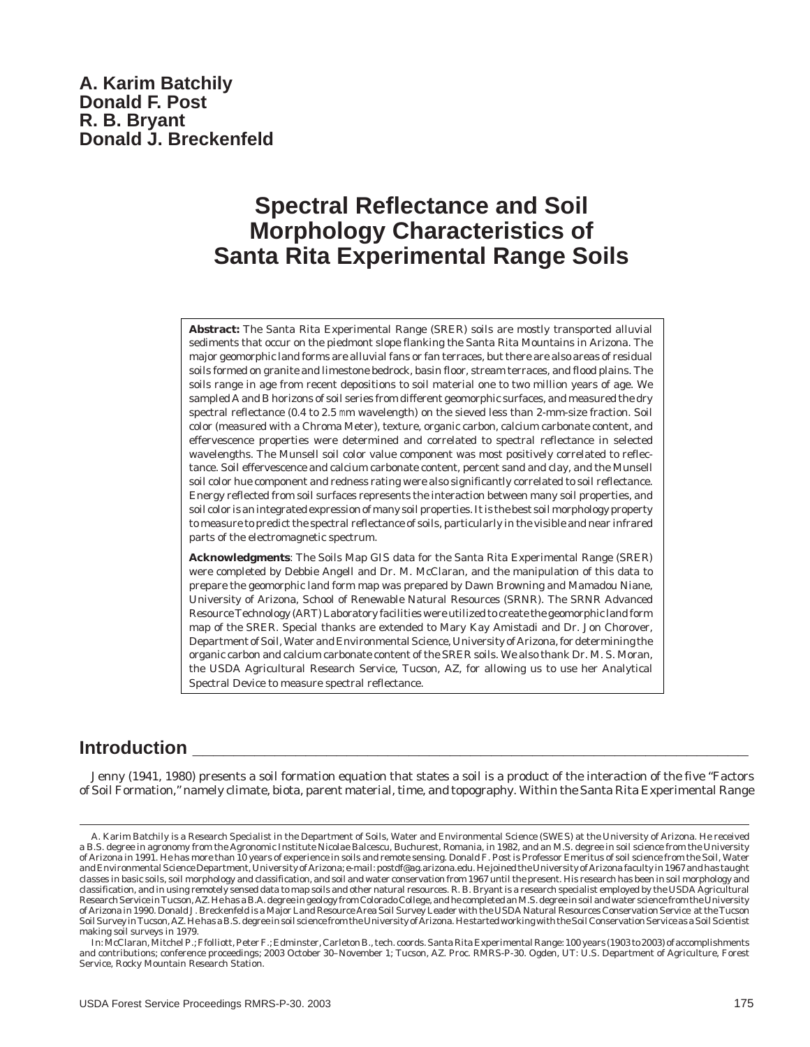# **Spectral Reflectance and Soil Morphology Characteristics of Santa Rita Experimental Range Soils**

**Abstract:** The Santa Rita Experimental Range (SRER) soils are mostly transported alluvial sediments that occur on the piedmont slope flanking the Santa Rita Mountains in Arizona. The major geomorphic land forms are alluvial fans or fan terraces, but there are also areas of residual soils formed on granite and limestone bedrock, basin floor, stream terraces, and flood plains. The soils range in age from recent depositions to soil material one to two million years of age. We sampled A and B horizons of soil series from different geomorphic surfaces, and measured the dry spectral reflectance (0.4 to 2.5 mm wavelength) on the sieved less than 2-mm-size fraction. Soil color (measured with a Chroma Meter), texture, organic carbon, calcium carbonate content, and effervescence properties were determined and correlated to spectral reflectance in selected wavelengths. The Munsell soil color value component was most positively correlated to reflectance. Soil effervescence and calcium carbonate content, percent sand and clay, and the Munsell soil color hue component and redness rating were also significantly correlated to soil reflectance. Energy reflected from soil surfaces represents the interaction between many soil properties, and soil color is an integrated expression of many soil properties. It is the best soil morphology property to measure to predict the spectral reflectance of soils, particularly in the visible and near infrared parts of the electromagnetic spectrum.

**Acknowledgments**: The Soils Map GIS data for the Santa Rita Experimental Range (SRER) were completed by Debbie Angell and Dr. M. McClaran, and the manipulation of this data to prepare the geomorphic land form map was prepared by Dawn Browning and Mamadou Niane, University of Arizona, School of Renewable Natural Resources (SRNR). The SRNR Advanced Resource Technology (ART) Laboratory facilities were utilized to create the geomorphic land form map of the SRER. Special thanks are extended to Mary Kay Amistadi and Dr. Jon Chorover, Department of Soil, Water and Environmental Science, University of Arizona, for determining the organic carbon and calcium carbonate content of the SRER soils. We also thank Dr. M. S. Moran, the USDA Agricultural Research Service, Tucson, AZ, for allowing us to use her Analytical Spectral Device to measure spectral reflectance.

## **Introduction**

Jenny (1941, 1980) presents a soil formation equation that states a soil is a product of the interaction of the five "Factors of Soil Formation," namely climate, biota, parent material, time, and topography. Within the Santa Rita Experimental Range

A. Karim Batchily is a Research Specialist in the Department of Soils, Water and Environmental Science (SWES) at the University of Arizona. He received a B.S. degree in agronomy from the Agronomic Institute Nicolae Balcescu, Buchurest, Romania, in 1982, and an M.S. degree in soil science from the University of Arizona in 1991. He has more than 10 years of experience in soils and remote sensing. Donald F. Post is Professor Emeritus of soil science from the Soil, Water and Environmental Science Department, University of Arizona; e-mail: postdf@ag.arizona.edu. He joined the University of Arizona faculty in 1967 and has taught classes in basic soils, soil morphology and classification, and soil and water conservation from 1967 until the present. His research has been in soil morphology and classification, and in using remotely sensed data to map soils and other natural resources. R. B. Bryant is a research specialist employed by the USDA Agricultural Research Service in Tucson, AZ. He has a B.A. degree in geology from Colorado College, and he completed an M.S. degree in soil and water science from the University of Arizona in 1990. Donald J. Breckenfeld is a Major Land Resource Area Soil Survey Leader with the USDA Natural Resources Conservation Service at the Tucson Soil Survey in Tucson, AZ. He has a B.S. degree in soil science from the University of Arizona. He started working with the Soil Conservation Service as a Soil Scientist making soil surveys in 1979.

In: McClaran, Mitchel P.; Ffolliott, Peter F.; Edminster, Carleton B., tech. coords. Santa Rita Experimental Range: 100 years (1903 to 2003) of accomplishments and contributions; conference proceedings; 2003 October 30–November 1; Tucson, AZ. Proc. RMRS-P-30. Ogden, UT: U.S. Department of Agriculture, Forest Service, Rocky Mountain Research Station.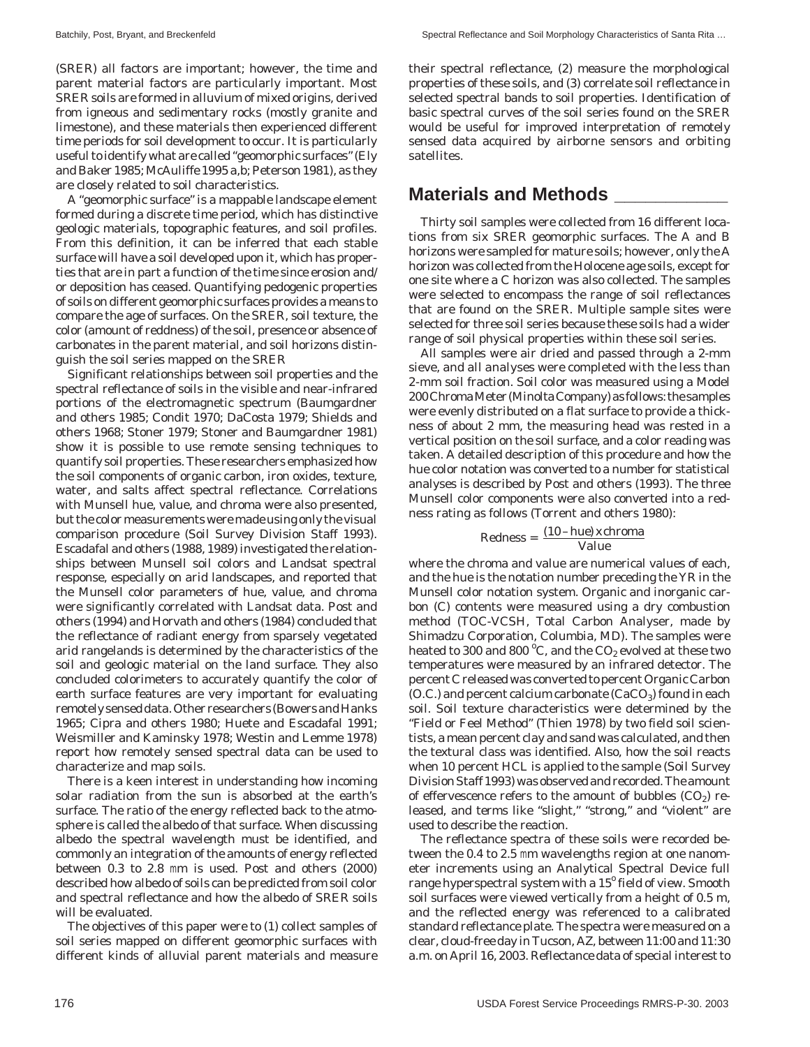(SRER) all factors are important; however, the time and parent material factors are particularly important. Most SRER soils are formed in alluvium of mixed origins, derived from igneous and sedimentary rocks (mostly granite and limestone), and these materials then experienced different time periods for soil development to occur. It is particularly useful to identify what are called "geomorphic surfaces" (Ely and Baker 1985; McAuliffe 1995 a,b; Peterson 1981), as they are closely related to soil characteristics.

A "geomorphic surface" is a mappable landscape element formed during a discrete time period, which has distinctive geologic materials, topographic features, and soil profiles. From this definition, it can be inferred that each stable surface will have a soil developed upon it, which has properties that are in part a function of the time since erosion and/ or deposition has ceased. Quantifying pedogenic properties of soils on different geomorphic surfaces provides a means to compare the age of surfaces. On the SRER, soil texture, the color (amount of reddness) of the soil, presence or absence of carbonates in the parent material, and soil horizons distinguish the soil series mapped on the SRER

Significant relationships between soil properties and the spectral reflectance of soils in the visible and near-infrared portions of the electromagnetic spectrum (Baumgardner and others 1985; Condit 1970; DaCosta 1979; Shields and others 1968; Stoner 1979; Stoner and Baumgardner 1981) show it is possible to use remote sensing techniques to quantify soil properties. These researchers emphasized how the soil components of organic carbon, iron oxides, texture, water, and salts affect spectral reflectance. Correlations with Munsell hue, value, and chroma were also presented, but the color measurements were made using only the visual comparison procedure (Soil Survey Division Staff 1993). Escadafal and others (1988, 1989) investigated the relationships between Munsell soil colors and Landsat spectral response, especially on arid landscapes, and reported that the Munsell color parameters of hue, value, and chroma were significantly correlated with Landsat data. Post and others (1994) and Horvath and others (1984) concluded that the reflectance of radiant energy from sparsely vegetated arid rangelands is determined by the characteristics of the soil and geologic material on the land surface. They also concluded colorimeters to accurately quantify the color of earth surface features are very important for evaluating remotely sensed data. Other researchers (Bowers and Hanks 1965; Cipra and others 1980; Huete and Escadafal 1991; Weismiller and Kaminsky 1978; Westin and Lemme 1978) report how remotely sensed spectral data can be used to characterize and map soils.

There is a keen interest in understanding how incoming solar radiation from the sun is absorbed at the earth's surface. The ratio of the energy reflected back to the atmosphere is called the albedo of that surface. When discussing albedo the spectral wavelength must be identified, and commonly an integration of the amounts of energy reflected between 0.3 to 2.8 mm is used. Post and others (2000) described how albedo of soils can be predicted from soil color and spectral reflectance and how the albedo of SRER soils will be evaluated.

The objectives of this paper were to (1) collect samples of soil series mapped on different geomorphic surfaces with different kinds of alluvial parent materials and measure

their spectral reflectance, (2) measure the morphological properties of these soils, and (3) correlate soil reflectance in selected spectral bands to soil properties. Identification of basic spectral curves of the soil series found on the SRER would be useful for improved interpretation of remotely sensed data acquired by airborne sensors and orbiting satellites.

### **Materials and Methods \_\_\_\_\_\_\_\_\_\_\_**

Thirty soil samples were collected from 16 different locations from six SRER geomorphic surfaces. The A and B horizons were sampled for mature soils; however, only the A horizon was collected from the Holocene age soils, except for one site where a C horizon was also collected. The samples were selected to encompass the range of soil reflectances that are found on the SRER. Multiple sample sites were selected for three soil series because these soils had a wider range of soil physical properties within these soil series.

All samples were air dried and passed through a 2-mm sieve, and all analyses were completed with the less than 2-mm soil fraction. Soil color was measured using a Model 200 Chroma Meter (Minolta Company) as follows: the samples were evenly distributed on a flat surface to provide a thickness of about 2 mm, the measuring head was rested in a vertical position on the soil surface, and a color reading was taken. A detailed description of this procedure and how the hue color notation was converted to a number for statistical analyses is described by Post and others (1993). The three Munsell color components were also converted into a redness rating as follows (Torrent and others 1980):

$$
Redness = \frac{(10 - hue) \, x \, chroma}{Value}
$$

where the chroma and value are numerical values of each, and the hue is the notation number preceding the YR in the Munsell color notation system. Organic and inorganic carbon (C) contents were measured using a dry combustion method (TOC-VCSH, Total Carbon Analyser, made by Shimadzu Corporation, Columbia, MD). The samples were heated to 300 and 800 °C, and the  $\mathrm{CO}_2$  evolved at these two temperatures were measured by an infrared detector. The percent C released was converted to percent Organic Carbon  $(0.C.)$  and percent calcium carbonate  $(CaCO<sub>3</sub>)$  found in each soil. Soil texture characteristics were determined by the "Field or Feel Method" (Thien 1978) by two field soil scientists, a mean percent clay and sand was calculated, and then the textural class was identified. Also, how the soil reacts when 10 percent HCL is applied to the sample (Soil Survey Division Staff 1993) was observed and recorded. The amount of effervescence refers to the amount of bubbles  $(CO_2)$  released, and terms like "slight," "strong," and "violent" are used to describe the reaction.

The reflectance spectra of these soils were recorded between the 0.4 to 2.5 mm wavelengths region at one nanometer increments using an Analytical Spectral Device full range hyperspectral system with a 15<sup>°</sup> field of view. Smooth soil surfaces were viewed vertically from a height of 0.5 m, and the reflected energy was referenced to a calibrated standard reflectance plate. The spectra were measured on a clear, cloud-free day in Tucson, AZ, between 11:00 and 11:30 a.m. on April 16, 2003. Reflectance data of special interest to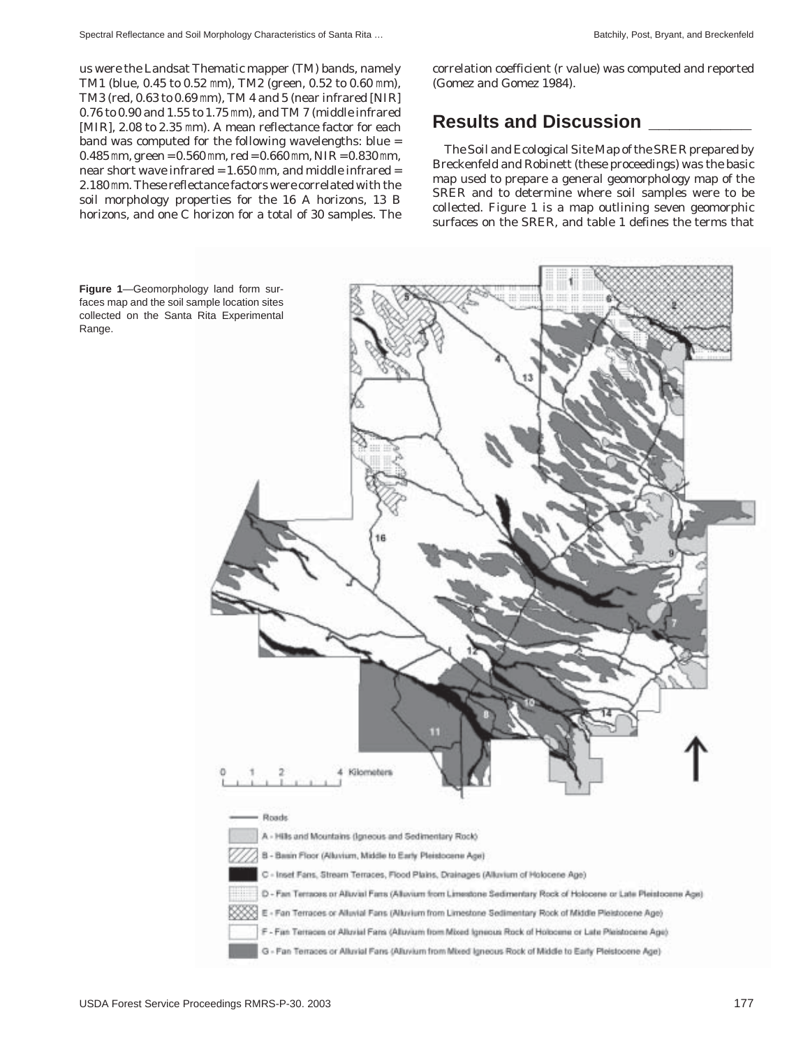us were the Landsat Thematic mapper (TM) bands, namely TM1 (blue, 0.45 to 0.52 mm), TM2 (green, 0.52 to 0.60 mm), TM3 (red, 0.63 to 0.69 mm), TM 4 and 5 (near infrared [NIR] 0.76 to 0.90 and 1.55 to 1.75 mm), and TM 7 (middle infrared [MIR], 2.08 to 2.35 mm). A mean reflectance factor for each band was computed for the following wavelengths: blue =  $0.485$  mm, green =  $0.560$  mm, red =  $0.660$  mm, NIR =  $0.830$  mm, near short wave infrared  $= 1.650$  mm, and middle infrared  $=$ 2.180 mm. These reflectance factors were correlated with the soil morphology properties for the 16 A horizons, 13 B horizons, and one C horizon for a total of 30 samples. The correlation coefficient (r value) was computed and reported (Gomez and Gomez 1984).

## **Results and Discussion \_\_\_\_\_\_\_\_\_\_**

The Soil and Ecological Site Map of the SRER prepared by Breckenfeld and Robinett (these proceedings) was the basic map used to prepare a general geomorphology map of the SRER and to determine where soil samples were to be collected. Figure 1 is a map outlining seven geomorphic surfaces on the SRER, and table 1 defines the terms that



**Figure 1**—Geomorphology land form surfaces map and the soil sample location sites collected on the Santa Rita Experimental Range.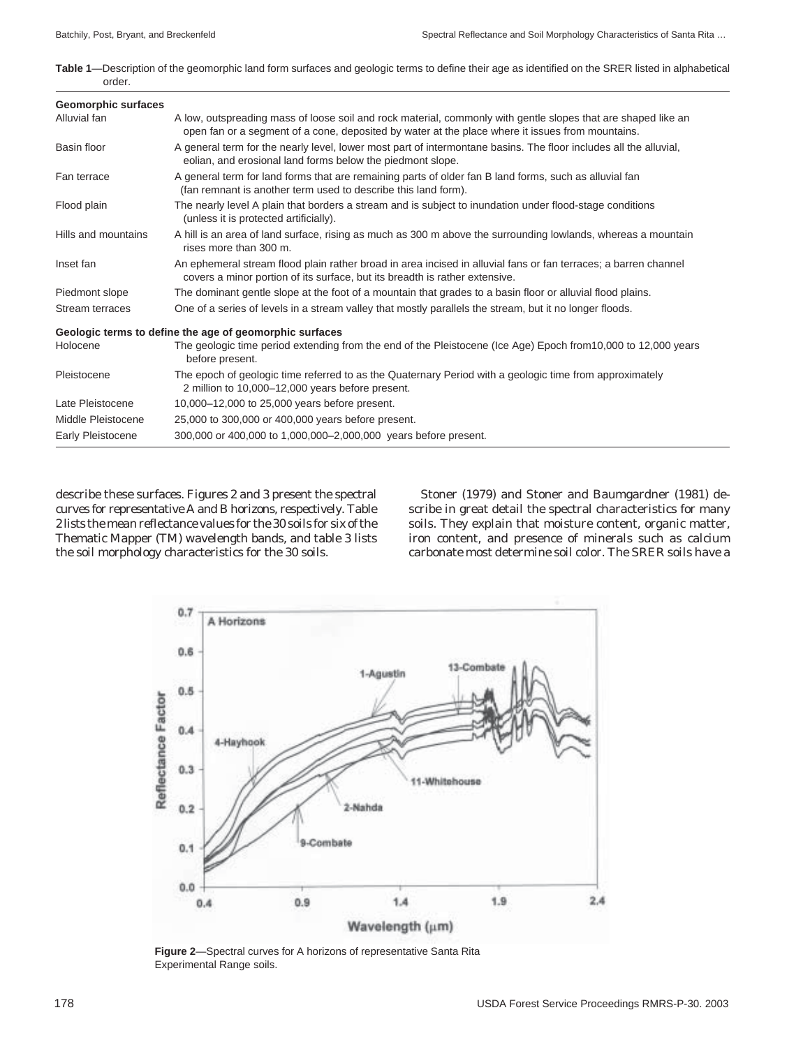**Table 1**—Description of the geomorphic land form surfaces and geologic terms to define their age as identified on the SRER listed in alphabetical order.

| <b>Geomorphic surfaces</b> |                                                                                                                                                                                                                   |
|----------------------------|-------------------------------------------------------------------------------------------------------------------------------------------------------------------------------------------------------------------|
| Alluvial fan               | A low, outspreading mass of loose soil and rock material, commonly with gentle slopes that are shaped like an<br>open fan or a segment of a cone, deposited by water at the place where it issues from mountains. |
| Basin floor                | A general term for the nearly level, lower most part of intermontane basins. The floor includes all the alluvial,<br>eolian, and erosional land forms below the piedmont slope.                                   |
| Fan terrace                | A general term for land forms that are remaining parts of older fan B land forms, such as alluvial fan<br>(fan remnant is another term used to describe this land form).                                          |
| Flood plain                | The nearly level A plain that borders a stream and is subject to inundation under flood-stage conditions<br>(unless it is protected artificially).                                                                |
| Hills and mountains        | A hill is an area of land surface, rising as much as 300 m above the surrounding lowlands, whereas a mountain<br>rises more than 300 m.                                                                           |
| Inset fan                  | An ephemeral stream flood plain rather broad in area incised in alluvial fans or fan terraces; a barren channel<br>covers a minor portion of its surface, but its breadth is rather extensive.                    |
| Piedmont slope             | The dominant gentle slope at the foot of a mountain that grades to a basin floor or alluvial flood plains.                                                                                                        |
| Stream terraces            | One of a series of levels in a stream valley that mostly parallels the stream, but it no longer floods.                                                                                                           |
|                            | Geologic terms to define the age of geomorphic surfaces                                                                                                                                                           |
| Holocene                   | The geologic time period extending from the end of the Pleistocene (Ice Age) Epoch from 10,000 to 12,000 years<br>before present.                                                                                 |
| Pleistocene                | The epoch of geologic time referred to as the Quaternary Period with a geologic time from approximately<br>2 million to 10,000-12,000 years before present.                                                       |
| Late Pleistocene           | 10,000-12,000 to 25,000 years before present.                                                                                                                                                                     |
| Middle Pleistocene         | 25,000 to 300,000 or 400,000 years before present.                                                                                                                                                                |
| Early Pleistocene          | 300,000 or 400,000 to 1,000,000–2,000,000 years before present.                                                                                                                                                   |
|                            |                                                                                                                                                                                                                   |

describe these surfaces. Figures 2 and 3 present the spectral curves for representative A and B horizons, respectively. Table 2 lists the mean reflectance values for the 30 soils for six of the Thematic Mapper (TM) wavelength bands, and table 3 lists the soil morphology characteristics for the 30 soils.

Stoner (1979) and Stoner and Baumgardner (1981) describe in great detail the spectral characteristics for many soils. They explain that moisture content, organic matter, iron content, and presence of minerals such as calcium carbonate most determine soil color. The SRER soils have a



**Figure 2**—Spectral curves for A horizons of representative Santa Rita Experimental Range soils.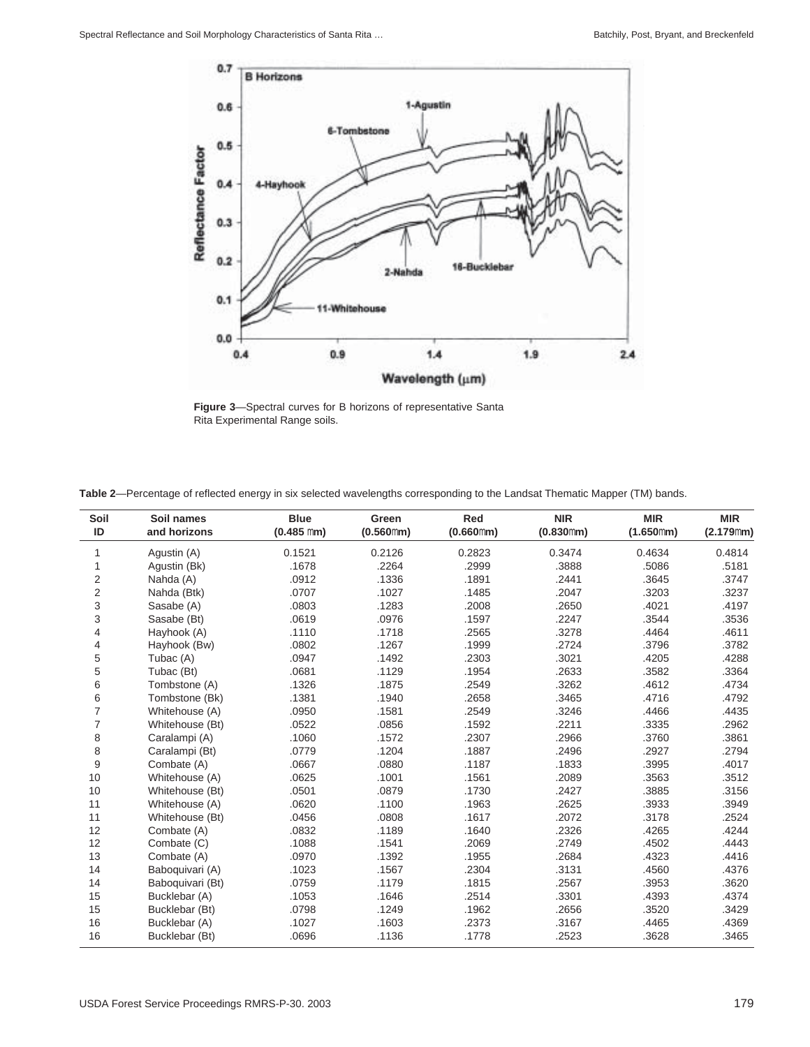

**Figure 3**—Spectral curves for B horizons of representative Santa Rita Experimental Range soils.

|  | Table 2—Percentage of reflected energy in six selected wavelengths corresponding to the Landsat Thematic Mapper (TM) bands. |  |  |
|--|-----------------------------------------------------------------------------------------------------------------------------|--|--|
|  |                                                                                                                             |  |  |

| Soil                    | Soil names       | <b>Blue</b>  | Green     | Red       | <b>NIR</b> | <b>MIR</b> | <b>MIR</b> |
|-------------------------|------------------|--------------|-----------|-----------|------------|------------|------------|
| ID                      | and horizons     | $(0.485$ mm) | (0.560mm) | (0.660mm) | (0.830mm)  | (1.650mm)  | (2.179mm)  |
| 1                       | Aqustin (A)      | 0.1521       | 0.2126    | 0.2823    | 0.3474     | 0.4634     | 0.4814     |
| 1                       | Agustin (Bk)     | .1678        | .2264     | .2999     | .3888      | .5086      | .5181      |
| 2                       | Nahda (A)        | .0912        | .1336     | .1891     | .2441      | .3645      | .3747      |
| $\overline{\mathbf{c}}$ | Nahda (Btk)      | .0707        | .1027     | .1485     | .2047      | .3203      | .3237      |
| 3                       | Sasabe (A)       | .0803        | .1283     | .2008     | .2650      | .4021      | .4197      |
| 3                       | Sasabe (Bt)      | .0619        | .0976     | .1597     | .2247      | .3544      | .3536      |
| 4                       | Hayhook (A)      | .1110        | .1718     | .2565     | .3278      | .4464      | .4611      |
| 4                       | Hayhook (Bw)     | .0802        | .1267     | .1999     | .2724      | .3796      | .3782      |
| 5                       | Tubac (A)        | .0947        | .1492     | .2303     | .3021      | .4205      | .4288      |
| 5                       | Tubac (Bt)       | .0681        | .1129     | .1954     | .2633      | .3582      | .3364      |
| 6                       | Tombstone (A)    | .1326        | .1875     | .2549     | .3262      | .4612      | .4734      |
| 6                       | Tombstone (Bk)   | .1381        | .1940     | .2658     | .3465      | .4716      | .4792      |
| $\overline{7}$          | Whitehouse (A)   | .0950        | .1581     | .2549     | .3246      | .4466      | .4435      |
| $\overline{7}$          | Whitehouse (Bt)  | .0522        | .0856     | .1592     | .2211      | .3335      | .2962      |
| 8                       | Caralampi (A)    | .1060        | .1572     | .2307     | .2966      | .3760      | .3861      |
| 8                       | Caralampi (Bt)   | .0779        | .1204     | .1887     | .2496      | .2927      | .2794      |
| 9                       | Combate (A)      | .0667        | .0880     | .1187     | .1833      | .3995      | .4017      |
| 10                      | Whitehouse (A)   | .0625        | .1001     | .1561     | .2089      | .3563      | .3512      |
| 10                      | Whitehouse (Bt)  | .0501        | .0879     | .1730     | .2427      | .3885      | .3156      |
| 11                      | Whitehouse (A)   | .0620        | .1100     | .1963     | .2625      | .3933      | .3949      |
| 11                      | Whitehouse (Bt)  | .0456        | .0808     | .1617     | .2072      | .3178      | .2524      |
| 12                      | Combate (A)      | .0832        | .1189     | .1640     | .2326      | .4265      | .4244      |
| 12                      | Combate (C)      | .1088        | .1541     | .2069     | .2749      | .4502      | .4443      |
| 13                      | Combate (A)      | .0970        | .1392     | .1955     | .2684      | .4323      | .4416      |
| 14                      | Baboquivari (A)  | .1023        | .1567     | .2304     | .3131      | .4560      | .4376      |
| 14                      | Baboquivari (Bt) | .0759        | .1179     | .1815     | .2567      | .3953      | .3620      |
| 15                      | Bucklebar (A)    | .1053        | .1646     | .2514     | .3301      | .4393      | .4374      |
| 15                      | Bucklebar (Bt)   | .0798        | .1249     | .1962     | .2656      | .3520      | .3429      |
| 16                      | Bucklebar (A)    | .1027        | .1603     | .2373     | .3167      | .4465      | .4369      |
| 16                      | Bucklebar (Bt)   | .0696        | .1136     | .1778     | .2523      | .3628      | .3465      |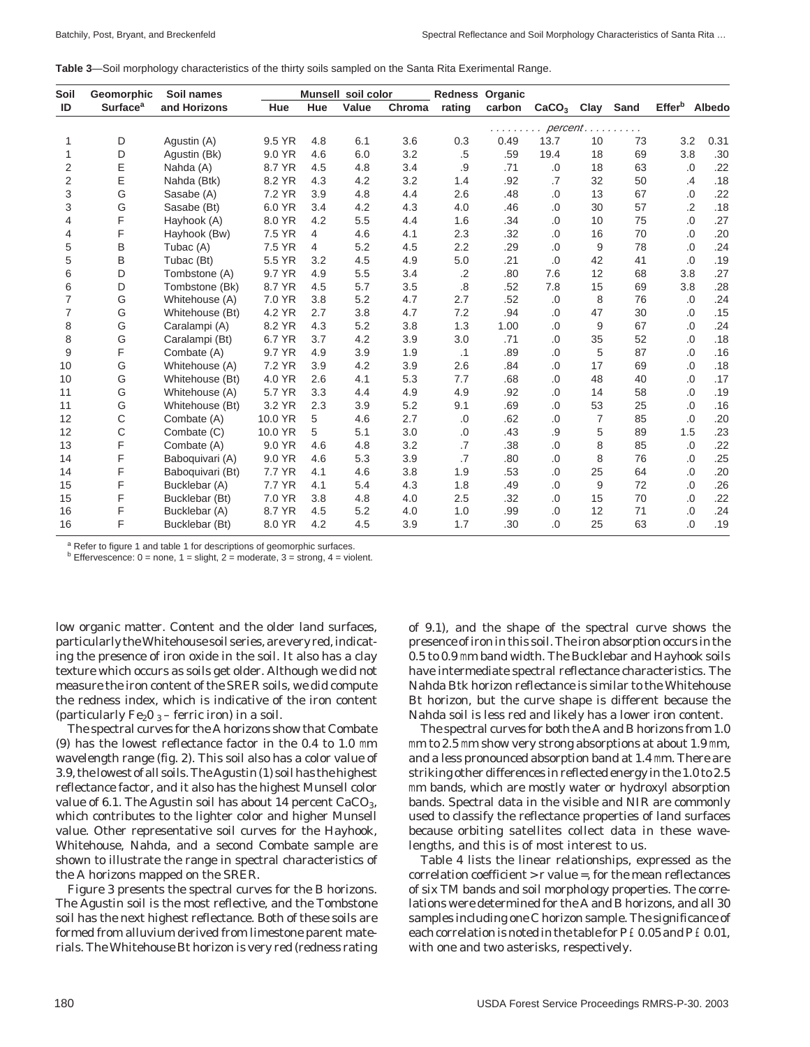**Table 3**—Soil morphology characteristics of the thirty soils sampled on the Santa Rita Exerimental Range.

| Soil           | Geomorphic                 | Soil names       |         |     | Munsell soil color |        | <b>Redness Organic</b> |          |                   |      |      |                           |               |
|----------------|----------------------------|------------------|---------|-----|--------------------|--------|------------------------|----------|-------------------|------|------|---------------------------|---------------|
| ID             | <b>Surface<sup>a</sup></b> | and Horizons     | Hue     | Hue | Value              | Chroma | rating                 | carbon   | CaCO <sub>3</sub> | Clay | Sand | <b>Effer</b> <sup>b</sup> | <b>Albedo</b> |
|                |                            |                  |         |     |                    |        |                        | percent. |                   |      |      |                           |               |
| 1              | D                          | Aqustin (A)      | 9.5 YR  | 4.8 | 6.1                | 3.6    | 0.3                    | 0.49     | 13.7              | 10   | 73   | 3.2                       | 0.31          |
| 1              | D                          | Agustin (Bk)     | 9.0 YR  | 4.6 | 6.0                | 3.2    | .5                     | .59      | 19.4              | 18   | 69   | 3.8                       | .30           |
| $\overline{2}$ | Ε                          | Nahda (A)        | 8.7 YR  | 4.5 | 4.8                | 3.4    | .9                     | .71      | .0                | 18   | 63   | .0                        | .22           |
| $\overline{2}$ | Ε                          | Nahda (Btk)      | 8.2 YR  | 4.3 | 4.2                | 3.2    | 1.4                    | .92      | .7                | 32   | 50   | .4                        | .18           |
| 3              | G                          | Sasabe (A)       | 7.2 YR  | 3.9 | 4.8                | 4.4    | 2.6                    | .48      | .0                | 13   | 67   | $.0\,$                    | .22           |
| 3              | G                          | Sasabe (Bt)      | 6.0 YR  | 3.4 | 4.2                | 4.3    | 4.0                    | .46      | .0                | 30   | 57   | $\cdot$                   | .18           |
| 4              | F                          | Hayhook (A)      | 8.0 YR  | 4.2 | 5.5                | 4.4    | 1.6                    | .34      | .0                | 10   | 75   | .0                        | .27           |
| 4              | F                          | Hayhook (Bw)     | 7.5 YR  | 4   | 4.6                | 4.1    | 2.3                    | .32      | .0                | 16   | 70   | .0                        | .20           |
| 5              | B                          | Tubac (A)        | 7.5 YR  | 4   | 5.2                | 4.5    | 2.2                    | .29      | .0                | 9    | 78   | .0                        | .24           |
| 5              | B                          | Tubac (Bt)       | 5.5 YR  | 3.2 | 4.5                | 4.9    | 5.0                    | .21      | .0                | 42   | 41   | .0                        | .19           |
| 6              | D                          | Tombstone (A)    | 9.7 YR  | 4.9 | 5.5                | 3.4    | $\cdot$ .2             | .80      | 7.6               | 12   | 68   | 3.8                       | .27           |
| 6              | D                          | Tombstone (Bk)   | 8.7 YR  | 4.5 | 5.7                | 3.5    | .8                     | .52      | 7.8               | 15   | 69   | 3.8                       | .28           |
| $\overline{7}$ | G                          | Whitehouse (A)   | 7.0 YR  | 3.8 | 5.2                | 4.7    | 2.7                    | .52      | .0                | 8    | 76   | .0                        | .24           |
| $\overline{7}$ | G                          | Whitehouse (Bt)  | 4.2 YR  | 2.7 | 3.8                | 4.7    | 7.2                    | .94      | .0                | 47   | 30   | .0                        | .15           |
| 8              | G                          | Caralampi (A)    | 8.2 YR  | 4.3 | 5.2                | 3.8    | 1.3                    | 1.00     | .0                | 9    | 67   | .0                        | .24           |
| 8              | G                          | Caralampi (Bt)   | 6.7 YR  | 3.7 | 4.2                | 3.9    | 3.0                    | .71      | .0                | 35   | 52   | .0                        | .18           |
| 9              | F                          | Combate (A)      | 9.7 YR  | 4.9 | 3.9                | 1.9    | $\cdot$ 1              | .89      | .0                | 5    | 87   | .0                        | .16           |
| 10             | G                          | Whitehouse (A)   | 7.2 YR  | 3.9 | 4.2                | 3.9    | 2.6                    | .84      | .0                | 17   | 69   | .0                        | .18           |
| 10             | G                          | Whitehouse (Bt)  | 4.0 YR  | 2.6 | 4.1                | 5.3    | 7.7                    | .68      | .0                | 48   | 40   | .0                        | .17           |
| 11             | G                          | Whitehouse (A)   | 5.7 YR  | 3.3 | 4.4                | 4.9    | 4.9                    | .92      | .0                | 14   | 58   | .0                        | .19           |
| 11             | G                          | Whitehouse (Bt)  | 3.2 YR  | 2.3 | 3.9                | 5.2    | 9.1                    | .69      | .0                | 53   | 25   | $.0\,$                    | .16           |
| 12             | C                          | Combate (A)      | 10.0 YR | 5   | 4.6                | 2.7    | .0                     | .62      | .0                | 7    | 85   | .0                        | .20           |
| 12             | C                          | Combate (C)      | 10.0 YR | 5   | 5.1                | 3.0    | .0                     | .43      | .9                | 5    | 89   | 1.5                       | .23           |
| 13             | F                          | Combate (A)      | 9.0 YR  | 4.6 | 4.8                | 3.2    | .7                     | .38      | .0                | 8    | 85   | .0                        | .22           |
| 14             | F                          | Baboquivari (A)  | 9.0 YR  | 4.6 | 5.3                | 3.9    | $\overline{.7}$        | .80      | .0                | 8    | 76   | .0                        | .25           |
| 14             | F                          | Baboquivari (Bt) | 7.7 YR  | 4.1 | 4.6                | 3.8    | 1.9                    | .53      | .0                | 25   | 64   | .0                        | .20           |
| 15             | F                          | Bucklebar (A)    | 7.7 YR  | 4.1 | 5.4                | 4.3    | 1.8                    | .49      | 0.                | 9    | 72   | .0                        | .26           |
| 15             | F                          | Bucklebar (Bt)   | 7.0 YR  | 3.8 | 4.8                | 4.0    | 2.5                    | .32      | 0.                | 15   | 70   | .0                        | .22           |
| 16             | F                          | Bucklebar (A)    | 8.7 YR  | 4.5 | 5.2                | 4.0    | 1.0                    | .99      | .0                | 12   | 71   | .0                        | .24           |
| 16             | F                          | Bucklebar (Bt)   | 8.0 YR  | 4.2 | 4.5                | 3.9    | 1.7                    | .30      | 0.                | 25   | 63   | 0.                        | .19           |

<sup>a</sup> Refer to figure 1 and table 1 for descriptions of geomorphic surfaces.

<sup>b</sup> Effervescence:  $0 =$  none,  $1 =$  slight,  $2 =$  moderate,  $3 =$  strong,  $4 =$  violent.

low organic matter. Content and the older land surfaces, particularly the Whitehouse soil series, are very red, indicating the presence of iron oxide in the soil. It also has a clay texture which occurs as soils get older. Although we did not measure the iron content of the SRER soils, we did compute the redness index, which is indicative of the iron content (particularly  $Fe<sub>2</sub>O<sub>3</sub>$  – ferric iron) in a soil.

The spectral curves for the A horizons show that Combate (9) has the lowest reflectance factor in the 0.4 to 1.0 mm wavelength range (fig. 2). This soil also has a color value of 3.9, the lowest of all soils. The Agustin (1) soil has the highest reflectance factor, and it also has the highest Munsell color value of 6.1. The Agustin soil has about 14 percent  $CaCO<sub>3</sub>$ , which contributes to the lighter color and higher Munsell value. Other representative soil curves for the Hayhook, Whitehouse, Nahda, and a second Combate sample are shown to illustrate the range in spectral characteristics of the A horizons mapped on the SRER.

Figure 3 presents the spectral curves for the B horizons. The Agustin soil is the most reflective, and the Tombstone soil has the next highest reflectance. Both of these soils are formed from alluvium derived from limestone parent materials. The Whitehouse Bt horizon is very red (redness rating of 9.1), and the shape of the spectral curve shows the presence of iron in this soil. The iron absorption occurs in the 0.5 to 0.9 mm band width. The Bucklebar and Hayhook soils have intermediate spectral reflectance characteristics. The Nahda Btk horizon reflectance is similar to the Whitehouse Bt horizon, but the curve shape is different because the Nahda soil is less red and likely has a lower iron content.

The spectral curves for both the A and B horizons from 1.0 mm to 2.5 mm show very strong absorptions at about 1.9 mm, and a less pronounced absorption band at 1.4 mm. There are striking other differences in reflected energy in the 1.0 to 2.5 mm bands, which are mostly water or hydroxyl absorption bands. Spectral data in the visible and NIR are commonly used to classify the reflectance properties of land surfaces because orbiting satellites collect data in these wavelengths, and this is of most interest to us.

Table 4 lists the linear relationships, expressed as the correlation coefficient > r value =, for the mean reflectances of six TM bands and soil morphology properties. The correlations were determined for the A and B horizons, and all 30 samples including one C horizon sample. The significance of each correlation is noted in the table for P £ 0.05 and P £ 0.01, with one and two asterisks, respectively.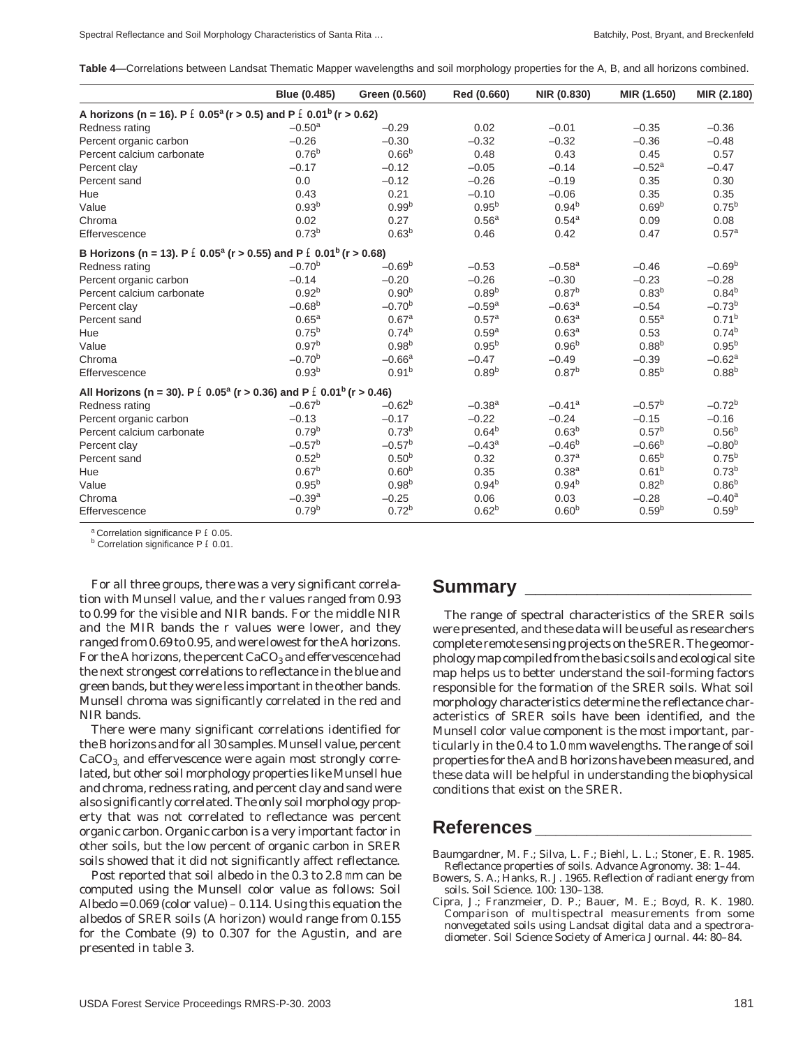**Table 4**—Correlations between Landsat Thematic Mapper wavelengths and soil morphology properties for the A, B, and all horizons combined.

|                                                                                                      | Blue (0.485)      | Green (0.560)     | Red (0.660)          | NIR (0.830)          | MIR (1.650)          | MIR (2.180)          |
|------------------------------------------------------------------------------------------------------|-------------------|-------------------|----------------------|----------------------|----------------------|----------------------|
| A horizons (n = 16). P $\pm$ 0.05 <sup>a</sup> (r > 0.5) and P $\pm$ 0.01 <sup>b</sup> (r > 0.62)    |                   |                   |                      |                      |                      |                      |
| Redness rating                                                                                       | $-0.50a$          | $-0.29$           | 0.02                 | $-0.01$              | $-0.35$              | $-0.36$              |
| Percent organic carbon                                                                               | $-0.26$           | $-0.30$           | $-0.32$              | $-0.32$              | $-0.36$              | $-0.48$              |
| Percent calcium carbonate                                                                            | 0.76 <sup>b</sup> | 0.66 <sup>b</sup> | 0.48                 | 0.43                 | 0.45                 | 0.57                 |
| Percent clay                                                                                         | $-0.17$           | $-0.12$           | $-0.05$              | $-0.14$              | $-0.52$ <sup>a</sup> | $-0.47$              |
| Percent sand                                                                                         | 0.0               | $-0.12$           | $-0.26$              | $-0.19$              | 0.35                 | 0.30                 |
| Hue                                                                                                  | 0.43              | 0.21              | $-0.10$              | $-0.06$              | 0.35                 | 0.35                 |
| Value                                                                                                | 0.93 <sup>b</sup> | 0.99 <sup>b</sup> | $0.95^{b}$           | $0.94^{b}$           | 0.69 <sup>b</sup>    | $0.75^{b}$           |
| Chroma                                                                                               | 0.02              | 0.27              | 0.56 <sup>a</sup>    | $0.54^{a}$           | 0.09                 | 0.08                 |
| Effervescence                                                                                        | 0.73 <sup>b</sup> | 0.63 <sup>b</sup> | 0.46                 | 0.42                 | 0.47                 | 0.57 <sup>a</sup>    |
| B Horizons (n = 13). P $\pm$ 0.05 <sup>a</sup> (r > 0.55) and P $\pm$ 0.01 <sup>b</sup> (r > 0.68)   |                   |                   |                      |                      |                      |                      |
| Redness rating                                                                                       | $-0.70^{b}$       | $-0.69b$          | $-0.53$              | $-0.58$ <sup>a</sup> | $-0.46$              | $-0.69b$             |
| Percent organic carbon                                                                               | $-0.14$           | $-0.20$           | $-0.26$              | $-0.30$              | $-0.23$              | $-0.28$              |
| Percent calcium carbonate                                                                            | 0.92 <sup>b</sup> | 0.90 <sup>b</sup> | 0.89 <sup>b</sup>    | 0.87 <sup>b</sup>    | $0.83^{b}$           | $0.84^{b}$           |
| Percent clay                                                                                         | $-0.68^{b}$       | $-0.70^{b}$       | $-0.59$ <sup>a</sup> | $-0.63^{\circ}$      | $-0.54$              | $-0.73^{b}$          |
| Percent sand                                                                                         | 0.65 <sup>a</sup> | 0.67 <sup>a</sup> | 0.57 <sup>a</sup>    | 0.63 <sup>a</sup>    | $0.55^{a}$           | 0.71 <sup>b</sup>    |
| Hue                                                                                                  | $0.75^{b}$        | $0.74^{b}$        | 0.59 <sup>a</sup>    | 0.63 <sup>a</sup>    | 0.53                 | 0.74 <sup>b</sup>    |
| Value                                                                                                | $0.97^{b}$        | 0.98 <sup>b</sup> | $0.95^{b}$           | 0.96 <sup>b</sup>    | $0.88^{b}$           | $0.95^{b}$           |
| Chroma                                                                                               | $-0.70^{b}$       | $-0.66a$          | $-0.47$              | $-0.49$              | $-0.39$              | $-0.62$ <sup>a</sup> |
| Effervescence                                                                                        | 0.93 <sup>b</sup> | 0.91 <sup>b</sup> | 0.89 <sup>b</sup>    | $0.87^{b}$           | $0.85^{b}$           | $0.88^{b}$           |
| All Horizons (n = 30). P $\pm$ 0.05 <sup>a</sup> (r > 0.36) and P $\pm$ 0.01 <sup>b</sup> (r > 0.46) |                   |                   |                      |                      |                      |                      |
| Redness rating                                                                                       | $-0.67^{b}$       | $-0.62^{b}$       | $-0.38$ <sup>a</sup> | $-0.41$ <sup>a</sup> | $-0.57^{b}$          | $-0.72^{b}$          |
| Percent organic carbon                                                                               | $-0.13$           | $-0.17$           | $-0.22$              | $-0.24$              | $-0.15$              | $-0.16$              |
| Percent calcium carbonate                                                                            | 0.79 <sup>b</sup> | 0.73 <sup>b</sup> | $0.64^{b}$           | 0.63 <sup>b</sup>    | 0.57 <sup>b</sup>    | 0.56 <sup>b</sup>    |
| Percent clay                                                                                         | $-0.57^{b}$       | $-0.57^{b}$       | $-0.43^a$            | $-0.46^{b}$          | $-0.66^{b}$          | $-0.80b$             |
| Percent sand                                                                                         | $0.52^{b}$        | $0.50^{b}$        | 0.32                 | 0.37 <sup>a</sup>    | $0.65^{b}$           | $0.75^{b}$           |
| Hue                                                                                                  | 0.67 <sup>b</sup> | 0.60 <sup>b</sup> | 0.35                 | 0.38 <sup>a</sup>    | 0.61 <sup>b</sup>    | 0.73 <sup>b</sup>    |
| Value                                                                                                | $0.95^{b}$        | $0.98^{b}$        | $0.94^{b}$           | $0.94^{b}$           | $0.82^{b}$           | $0.86^{b}$           |
| Chroma                                                                                               | $-0.39a$          | $-0.25$           | 0.06                 | 0.03                 | $-0.28$              | $-0.40$ <sup>a</sup> |
| Effervescence                                                                                        | 0.79 <sup>b</sup> | 0.72 <sup>b</sup> | 0.62 <sup>b</sup>    | 0.60 <sup>b</sup>    | 0.59 <sup>b</sup>    | 0.59 <sup>b</sup>    |

a Correlation significance P £ 0.05.

**b** Correlation significance P £ 0.01.

For all three groups, there was a very significant correlation with Munsell value, and the r values ranged from 0.93 to 0.99 for the visible and NIR bands. For the middle NIR and the MIR bands the r values were lower, and they ranged from 0.69 to 0.95, and were lowest for the A horizons. For the A horizons, the percent  $CaCO<sub>3</sub>$  and effervescence had the next strongest correlations to reflectance in the blue and green bands, but they were less important in the other bands. Munsell chroma was significantly correlated in the red and NIR bands.

There were many significant correlations identified for the B horizons and for all 30 samples. Munsell value, percent  $CaCO<sub>3</sub>$  and effervescence were again most strongly correlated, but other soil morphology properties like Munsell hue and chroma, redness rating, and percent clay and sand were also significantly correlated. The only soil morphology property that was not correlated to reflectance was percent organic carbon. Organic carbon is a very important factor in other soils, but the low percent of organic carbon in SRER soils showed that it did not significantly affect reflectance.

Post reported that soil albedo in the 0.3 to 2.8 mm can be computed using the Munsell color value as follows: Soil Albedo =  $0.069$  (color value) –  $0.114$ . Using this equation the albedos of SRER soils (A horizon) would range from 0.155 for the Combate (9) to 0.307 for the Agustin, and are presented in table 3.

#### **Summary \_\_\_\_\_\_\_\_\_\_\_\_\_\_\_\_\_\_\_\_\_\_**

The range of spectral characteristics of the SRER soils were presented, and these data will be useful as researchers complete remote sensing projects on the SRER. The geomorphology map compiled from the basic soils and ecological site map helps us to better understand the soil-forming factors responsible for the formation of the SRER soils. What soil morphology characteristics determine the reflectance characteristics of SRER soils have been identified, and the Munsell color value component is the most important, particularly in the 0.4 to 1.0 mm wavelengths. The range of soil properties for the A and B horizons have been measured, and these data will be helpful in understanding the biophysical conditions that exist on the SRER.

## **References \_\_\_\_\_\_\_\_\_\_\_\_\_\_\_\_\_\_\_\_\_**

Baumgardner, M. F.; Silva, L. F.; Biehl, L. L.; Stoner, E. R. 1985. Reflectance properties of soils. Advance Agronomy. 38: 1–44.

- Bowers, S. A.; Hanks, R. J. 1965. Reflection of radiant energy from soils. Soil Science. 100: 130–138.
- Cipra, J.; Franzmeier, D. P.; Bauer, M. E.; Boyd, R. K. 1980. Comparison of multispectral measurements from some nonvegetated soils using Landsat digital data and a spectroradiometer. Soil Science Society of America Journal. 44: 80–84.